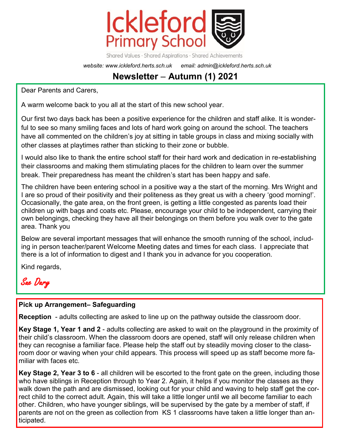

Shared Values · Shared Aspirations · Shared Achievements

*website: www.ickleford.herts.sch.uk email: admin@ickleford.herts.sch.uk*

### **Newsletter** – **Autumn (1) 2021**

Dear Parents and Carers,

A warm welcome back to you all at the start of this new school year.

Our first two days back has been a positive experience for the children and staff alike. It is wonderful to see so many smiling faces and lots of hard work going on around the school. The teachers have all commented on the children's joy at sitting in table groups in class and mixing socially with other classes at playtimes rather than sticking to their zone or bubble.

I would also like to thank the entire school staff for their hard work and dedication in re-establishing their classrooms and making them stimulating places for the children to learn over the summer break. Their preparedness has meant the children's start has been happy and safe.

The children have been entering school in a positive way a the start of the morning. Mrs Wright and I are so proud of their positivity and their politeness as they great us with a cheery 'good morning!'. Occasionally, the gate area, on the front green, is getting a little congested as parents load their children up with bags and coats etc. Please, encourage your child to be independent, carrying their own belongings, checking they have all their belongings on them before you walk over to the gate area. Thank you

Below are several important messages that will enhance the smooth running of the school, including in person teacher/parent Welcome Meeting dates and times for each class. I appreciate that there is a lot of information to digest and I thank you in advance for you cooperation.

Kind regards,

# Sue Dury

#### **Pick up Arrangement– Safeguarding**

**Reception** - adults collecting are asked to line up on the pathway outside the classroom door.

**Key Stage 1, Year 1 and 2** - adults collecting are asked to wait on the playground in the proximity of their child's classroom. When the classroom doors are opened, staff will only release children when they can recognise a familiar face. Please help the staff out by steadily moving closer to the classroom door or waving when your child appears. This process will speed up as staff become more familiar with faces etc.

**Key Stage 2, Year 3 to 6** - all children will be escorted to the front gate on the green, including those who have siblings in Reception through to Year 2. Again, it helps if you monitor the classes as they walk down the path and are dismissed, looking out for your child and waving to help staff get the correct child to the correct adult. Again, this will take a little longer until we all become familiar to each other. Children, who have younger siblings, will be supervised by the gate by a member of staff, if parents are not on the green as collection from KS 1 classrooms have taken a little longer than anticipated.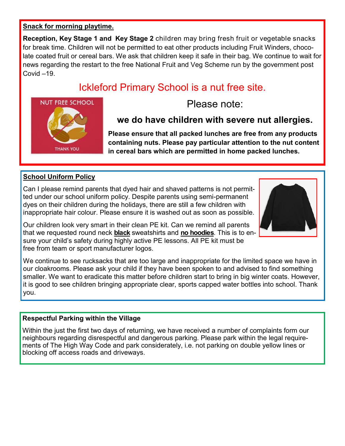#### **Snack for morning playtime.**

**Reception, Key Stage 1 and Key Stage 2** children may bring fresh fruit or vegetable snacks for break time. Children will not be permitted to eat other products including Fruit Winders, chocolate coated fruit or cereal bars. We ask that children keep it safe in their bag. We continue to wait for news regarding the restart to the free National Fruit and Veg Scheme run by the government post Covid –19.

## Ickleford Primary School is a nut free site.



### Please note:

### **we do have children with severe nut allergies.**

**Please ensure that all packed lunches are free from any products containing nuts. Please pay particular attention to the nut content in cereal bars which are permitted in home packed lunches.** 

#### **School Uniform Policy**

Can I please remind parents that dyed hair and shaved patterns is not permitted under our school uniform policy. Despite parents using semi-permanent dyes on their children during the holidays, there are still a few children with inappropriate hair colour. Please ensure it is washed out as soon as possible.



Our children look very smart in their clean PE kit. Can we remind all parents that we requested round neck **black** sweatshirts and **no hoodies**. This is to ensure your child's safety during highly active PE lessons. All PE kit must be free from team or sport manufacturer logos.

We continue to see rucksacks that are too large and inappropriate for the limited space we have in our cloakrooms. Please ask your child if they have been spoken to and advised to find something smaller. We want to eradicate this matter before children start to bring in big winter coats. However, it is good to see children bringing appropriate clear, sports capped water bottles into school. Thank you.

#### **Respectful Parking within the Village**

Within the just the first two days of returning, we have received a number of complaints form our neighbours regarding disrespectful and dangerous parking. Please park within the legal requirements of The High Way Code and park considerately, i.e. not parking on double yellow lines or blocking off access roads and driveways.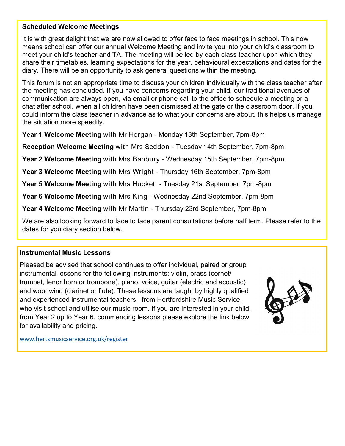#### **Scheduled Welcome Meetings**

It is with great delight that we are now allowed to offer face to face meetings in school. This now means school can offer our annual Welcome Meeting and invite you into your child's classroom to meet your child's teacher and TA. The meeting will be led by each class teacher upon which they share their timetables, learning expectations for the year, behavioural expectations and dates for the diary. There will be an opportunity to ask general questions within the meeting.

This forum is not an appropriate time to discuss your children individually with the class teacher after the meeting has concluded. If you have concerns regarding your child, our traditional avenues of communication are always open, via email or phone call to the office to schedule a meeting or a chat after school, when all children have been dismissed at the gate or the classroom door. If you could inform the class teacher in advance as to what your concerns are about, this helps us manage the situation more speedily.

**Year 1 Welcome Meeting** with Mr Horgan - Monday 13th September, 7pm-8pm

**Reception Welcome Meeting** with Mrs Seddon - Tuesday 14th September, 7pm-8pm

**Year 2 Welcome Meeting** with Mrs Banbury - Wednesday 15th September, 7pm-8pm

**Year 3 Welcome Meeting** with Mrs Wright - Thursday 16th September, 7pm-8pm

**Year 5 Welcome Meeting** with Mrs Huckett - Tuesday 21st September, 7pm-8pm

**Year 6 Welcome Meeting** with Mrs King - Wednesday 22nd September, 7pm-8pm

**Year 4 Welcome Meeting** with Mr Martin - Thursday 23rd September, 7pm-8pm

We are also looking forward to face to face parent consultations before half term. Please refer to the dates for you diary section below.

#### **Instrumental Music Lessons**

Pleased be advised that school continues to offer individual, paired or group instrumental lessons for the following instruments: violin, brass (cornet/ trumpet, tenor horn or trombone), piano, voice, guitar (electric and acoustic) and woodwind (clarinet or flute). These lessons are taught by highly qualified and experienced instrumental teachers, from Hertfordshire Music Service, who visit school and utilise our music room. If you are interested in your child, from Year 2 up to Year 6, commencing lessons please explore the link below for availability and pricing.



[www.hertsmusicservice.org.uk/register](http://www.hertsmusicservice.org.uk/register)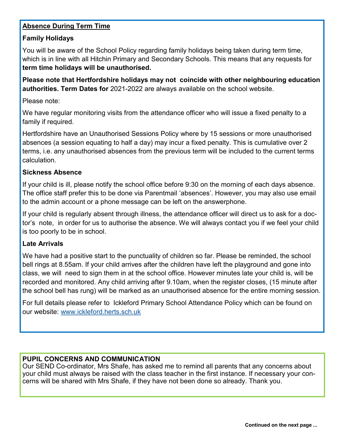#### **Absence During Term Time**

#### **Family Holidays**

You will be aware of the School Policy regarding family holidays being taken during term time, which is in line with all Hitchin Primary and Secondary Schools. This means that any requests for **term time holidays will be unauthorised.**

**Please note that Hertfordshire holidays may not coincide with other neighbouring education authorities. Term Dates for** 2021-2022 are always available on the school website.

Please note:

We have regular monitoring visits from the attendance officer who will issue a fixed penalty to a family if required.

Hertfordshire have an Unauthorised Sessions Policy where by 15 sessions or more unauthorised absences (a session equating to half a day) may incur a fixed penalty. This is cumulative over 2 terms, i.e. any unauthorised absences from the previous term will be included to the current terms calculation.

#### **Sickness Absence**

If your child is ill, please notify the school office before 9:30 on the morning of each days absence. The office staff prefer this to be done via Parentmail 'absences'. However, you may also use email to the admin account or a phone message can be left on the answerphone.

If your child is regularly absent through illness, the attendance officer will direct us to ask for a doctor's note, in order for us to authorise the absence. We will always contact you if we feel your child is too poorly to be in school.

#### **Late Arrivals**

We have had a positive start to the punctuality of children so far. Please be reminded, the school bell rings at 8.55am. If your child arrives after the children have left the playground and gone into class, we will need to sign them in at the school office. However minutes late your child is, will be recorded and monitored. Any child arriving after 9.10am, when the register closes, (15 minute after the school bell has rung) will be marked as an unauthorised absence for the entire morning session.

For full details please refer to Ickleford Primary School Attendance Policy which can be found on our website: [www.ickleford.herts.sch.uk](http://www.ickleford.herts.sch.uk)

#### **PUPIL CONCERNS AND COMMUNICATION**

Our SEND Co-ordinator, Mrs Shafe, has asked me to remind all parents that any concerns about your child must always be raised with the class teacher in the first instance. If necessary your concerns will be shared with Mrs Shafe, if they have not been done so already. Thank you.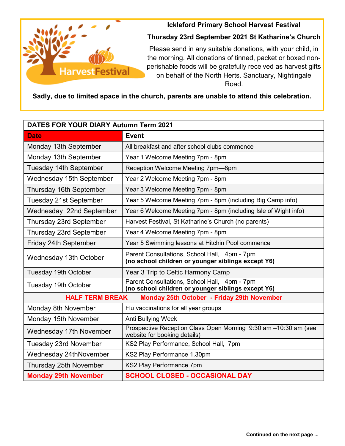

**Ickleford Primary School Harvest Festival** 

#### **Thursday 23rd September 2021 St Katharine's Church**

Please send in any suitable donations, with your child, in the morning. All donations of tinned, packet or boxed nonperishable foods will be gratefully received as harvest gifts on behalf of the North Herts. Sanctuary, Nightingale Road.

**Sadly, due to limited space in the church, parents are unable to attend this celebration.** 

| <b>DATES FOR YOUR DIARY Autumn Term 2021</b>                         |                                                                                                    |
|----------------------------------------------------------------------|----------------------------------------------------------------------------------------------------|
| <b>Date</b>                                                          | <b>Event</b>                                                                                       |
| Monday 13th September                                                | All breakfast and after school clubs commence                                                      |
| Monday 13th September                                                | Year 1 Welcome Meeting 7pm - 8pm                                                                   |
| Tuesday 14th September                                               | Reception Welcome Meeting 7pm-8pm                                                                  |
| <b>Wednesday 15th September</b>                                      | Year 2 Welcome Meeting 7pm - 8pm                                                                   |
| Thursday 16th September                                              | Year 3 Welcome Meeting 7pm - 8pm                                                                   |
| <b>Tuesday 21st September</b>                                        | Year 5 Welcome Meeting 7pm - 8pm (including Big Camp info)                                         |
| Wednesday 22nd September                                             | Year 6 Welcome Meeting 7pm - 8pm (including Isle of Wight info)                                    |
| <b>Thursday 23rd September</b>                                       | Harvest Festival, St Katharine's Church (no parents)                                               |
| Thursday 23rd September                                              | Year 4 Welcome Meeting 7pm - 8pm                                                                   |
| Friday 24th September                                                | Year 5 Swimming lessons at Hitchin Pool commence                                                   |
| Wednesday 13th October                                               | Parent Consultations, School Hall, 4pm - 7pm<br>(no school children or younger siblings except Y6) |
| Tuesday 19th October                                                 | Year 3 Trip to Celtic Harmony Camp                                                                 |
| Tuesday 19th October                                                 | Parent Consultations, School Hall, 4pm - 7pm<br>(no school children or younger siblings except Y6) |
| <b>HALF TERM BREAK</b><br>Monday 25th October - Friday 29th November |                                                                                                    |
| Monday 8th November                                                  | Flu vaccinations for all year groups                                                               |
| Monday 15th November                                                 | Anti Bullying Week                                                                                 |
| <b>Wednesday 17th November</b>                                       | Prospective Reception Class Open Morning 9:30 am -10:30 am (see<br>website for booking details)    |
| <b>Tuesday 23rd November</b>                                         | KS2 Play Performance, School Hall, 7pm                                                             |
| Wednesday 24thNovember                                               | KS2 Play Performance 1.30pm                                                                        |
| Thursday 25th November                                               | KS2 Play Performance 7pm                                                                           |
| <b>Monday 29th November</b>                                          | <b>SCHOOL CLOSED - OCCASIONAL DAY</b>                                                              |